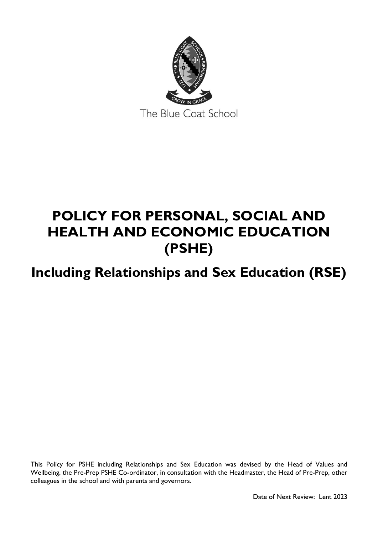

# **POLICY FOR PERSONAL, SOCIAL AND HEALTH AND ECONOMIC EDUCATION (PSHE)**

# **Including Relationships and Sex Education (RSE)**

This Policy for PSHE including Relationships and Sex Education was devised by the Head of Values and Wellbeing, the Pre-Prep PSHE Co-ordinator, in consultation with the Headmaster, the Head of Pre-Prep, other colleagues in the school and with parents and governors.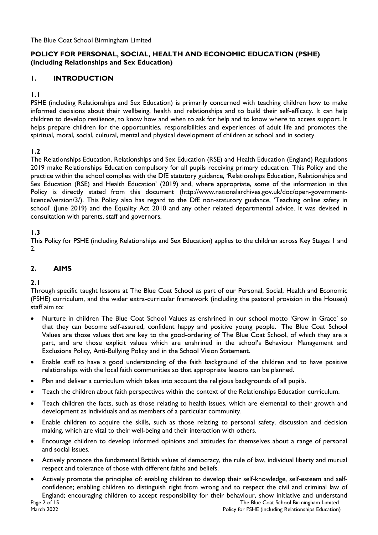The Blue Coat School Birmingham Limited

# **POLICY FOR PERSONAL, SOCIAL, HEALTH AND ECONOMIC EDUCATION (PSHE) (including Relationships and Sex Education)**

# **1. INTRODUCTION**

# **1.1**

PSHE (including Relationships and Sex Education) is primarily concerned with teaching children how to make informed decisions about their wellbeing, health and relationships and to build their self-efficacy. It can help children to develop resilience, to know how and when to ask for help and to know where to access support. It helps prepare children for the opportunities, responsibilities and experiences of adult life and promotes the spiritual, moral, social, cultural, mental and physical development of children at school and in society.

# **1.2**

The Relationships Education, Relationships and Sex Education (RSE) and Health Education (England) Regulations 2019 make Relationships Education compulsory for all pupils receiving primary education. This Policy and the practice within the school complies with the DfE statutory guidance, 'Relationships Education, Relationships and Sex Education (RSE) and Health Education' (2019) and, where appropriate, some of the information in this Policy is directly stated from this document [\(http://www.nationalarchives.gov.uk/doc/open-government](http://www.nationalarchives.gov.uk/doc/open-government-licence/version/3/)[licence/version/3/\)](http://www.nationalarchives.gov.uk/doc/open-government-licence/version/3/). This Policy also has regard to the DfE non-statutory guidance, 'Teaching online safety in school' (June 2019) and the Equality Act 2010 and any other related departmental advice. It was devised in consultation with parents, staff and governors.

#### **1.3**

This Policy for PSHE (including Relationships and Sex Education) applies to the children across Key Stages 1 and 2.

#### **2. AIMS**

#### **2.1**

Through specific taught lessons at The Blue Coat School as part of our Personal, Social, Health and Economic (PSHE) curriculum, and the wider extra-curricular framework (including the pastoral provision in the Houses) staff aim to:

- Nurture in children The Blue Coat School Values as enshrined in our school motto 'Grow in Grace' so that they can become self-assured, confident happy and positive young people. The Blue Coat School Values are those values that are key to the good-ordering of The Blue Coat School, of which they are a part, and are those explicit values which are enshrined in the school's Behaviour Management and Exclusions Policy, Anti-Bullying Policy and in the School Vision Statement.
- Enable staff to have a good understanding of the faith background of the children and to have positive relationships with the local faith communities so that appropriate lessons can be planned.
- Plan and deliver a curriculum which takes into account the religious backgrounds of all pupils.
- Teach the children about faith perspectives within the context of the Relationships Education curriculum.
- Teach children the facts, such as those relating to health issues, which are elemental to their growth and development as individuals and as members of a particular community.
- Enable children to acquire the skills, such as those relating to personal safety, discussion and decision making, which are vital to their well-being and their interaction with others.
- Encourage children to develop informed opinions and attitudes for themselves about a range of personal and social issues.
- Actively promote the fundamental British values of democracy, the rule of law, individual liberty and mutual respect and tolerance of those with different faiths and beliefs.
- Page 2 of 15 The Blue Coat School Birmingham Limited March 2022 **Policy for PSHE (including Relationships Education)** Policy for PSHE (including Relationships Education) • Actively promote the principles of: enabling children to develop their self-knowledge, self-esteem and selfconfidence; enabling children to distinguish right from wrong and to respect the civil and criminal law of England; encouraging children to accept responsibility for their behaviour, show initiative and understand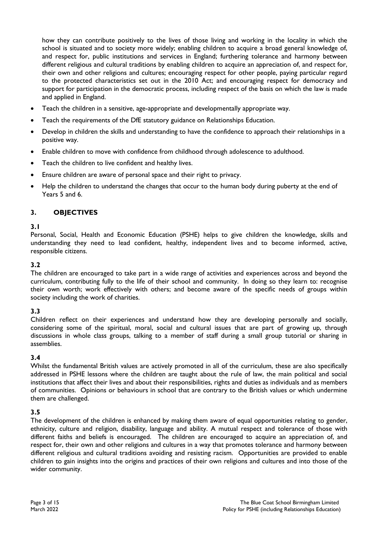how they can contribute positively to the lives of those living and working in the locality in which the school is situated and to society more widely; enabling children to acquire a broad general knowledge of, and respect for, public institutions and services in England; furthering tolerance and harmony between different religious and cultural traditions by enabling children to acquire an appreciation of, and respect for, their own and other religions and cultures; encouraging respect for other people, paying particular regard to the protected characteristics set out in the 2010 Act; and encouraging respect for democracy and support for participation in the democratic process, including respect of the basis on which the law is made and applied in England.

- Teach the children in a sensitive, age-appropriate and developmentally appropriate way.
- Teach the requirements of the DfE statutory guidance on Relationships Education.
- Develop in children the skills and understanding to have the confidence to approach their relationships in a positive way.
- Enable children to move with confidence from childhood through adolescence to adulthood.
- Teach the children to live confident and healthy lives.
- Ensure children are aware of personal space and their right to privacy.
- Help the children to understand the changes that occur to the human body during puberty at the end of Years 5 and 6.

#### **3. OBJECTIVES**

#### **3.1**

Personal, Social, Health and Economic Education (PSHE) helps to give children the knowledge, skills and understanding they need to lead confident, healthy, independent lives and to become informed, active, responsible citizens.

#### **3.2**

The children are encouraged to take part in a wide range of activities and experiences across and beyond the curriculum, contributing fully to the life of their school and community. In doing so they learn to: recognise their own worth; work effectively with others; and become aware of the specific needs of groups within society including the work of charities.

#### **3.3**

Children reflect on their experiences and understand how they are developing personally and socially, considering some of the spiritual, moral, social and cultural issues that are part of growing up, through discussions in whole class groups, talking to a member of staff during a small group tutorial or sharing in assemblies.

#### **3.4**

Whilst the fundamental British values are actively promoted in all of the curriculum, these are also specifically addressed in PSHE lessons where the children are taught about the rule of law, the main political and social institutions that affect their lives and about their responsibilities, rights and duties as individuals and as members of communities. Opinions or behaviours in school that are contrary to the British values or which undermine them are challenged.

#### **3.5**

The development of the children is enhanced by making them aware of equal opportunities relating to gender, ethnicity, culture and religion, disability, language and ability. A mutual respect and tolerance of those with different faiths and beliefs is encouraged. The children are encouraged to acquire an appreciation of, and respect for, their own and other religions and cultures in a way that promotes tolerance and harmony between different religious and cultural traditions avoiding and resisting racism. Opportunities are provided to enable children to gain insights into the origins and practices of their own religions and cultures and into those of the wider community.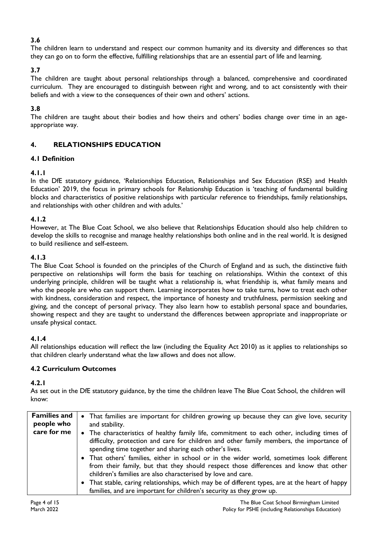# **3.6**

The children learn to understand and respect our common humanity and its diversity and differences so that they can go on to form the effective, fulfilling relationships that are an essential part of life and learning.

# **3.7**

The children are taught about personal relationships through a balanced, comprehensive and coordinated curriculum. They are encouraged to distinguish between right and wrong, and to act consistently with their beliefs and with a view to the consequences of their own and others' actions.

# **3.8**

The children are taught about their bodies and how theirs and others' bodies change over time in an ageappropriate way.

# **4. RELATIONSHIPS EDUCATION**

# **4.1 Definition**

# **4.1.1**

In the DfE statutory guidance, 'Relationships Education, Relationships and Sex Education (RSE) and Health Education' 2019, the focus in primary schools for Relationship Education is 'teaching of fundamental building blocks and characteristics of positive relationships with particular reference to friendships, family relationships, and relationships with other children and with adults.'

# **4.1.2**

However, at The Blue Coat School, we also believe that Relationships Education should also help children to develop the skills to recognise and manage healthy relationships both online and in the real world. It is designed to build resilience and self-esteem.

# **4.1.3**

The Blue Coat School is founded on the principles of the Church of England and as such, the distinctive faith perspective on relationships will form the basis for teaching on relationships. Within the context of this underlying principle, children will be taught what a relationship is, what friendship is, what family means and who the people are who can support them. Learning incorporates how to take turns, how to treat each other with kindness, consideration and respect, the importance of honesty and truthfulness, permission seeking and giving, and the concept of personal privacy. They also learn how to establish personal space and boundaries, showing respect and they are taught to understand the differences between appropriate and inappropriate or unsafe physical contact.

# **4.1.4**

All relationships education will reflect the law (including the Equality Act 2010) as it applies to relationships so that children clearly understand what the law allows and does not allow.

# **4.2 Curriculum Outcomes**

#### **4.2.1**

As set out in the DfE statutory guidance, by the time the children leave The Blue Coat School, the children will know:

| <b>Families and</b> | • That families are important for children growing up because they can give love, security      |  |  |  |  |
|---------------------|-------------------------------------------------------------------------------------------------|--|--|--|--|
| people who          | and stability.                                                                                  |  |  |  |  |
| care for me         | • The characteristics of healthy family life, commitment to each other, including times of      |  |  |  |  |
|                     | difficulty, protection and care for children and other family members, the importance of        |  |  |  |  |
|                     | spending time together and sharing each other's lives.                                          |  |  |  |  |
|                     | • That others' families, either in school or in the wider world, sometimes look different       |  |  |  |  |
|                     | from their family, but that they should respect those differences and know that other           |  |  |  |  |
|                     | children's families are also characterised by love and care.                                    |  |  |  |  |
|                     | • That stable, caring relationships, which may be of different types, are at the heart of happy |  |  |  |  |
|                     | families, and are important for children's security as they grow up.                            |  |  |  |  |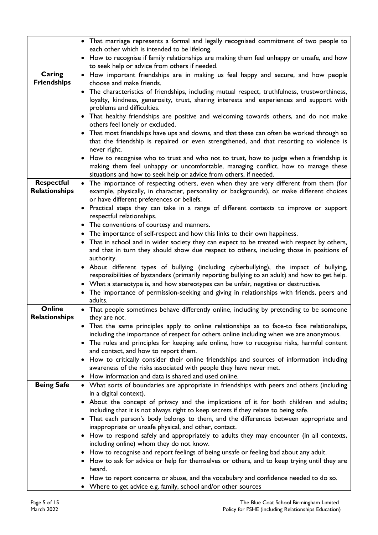|                      | • That marriage represents a formal and legally recognised commitment of two people to                                                          |  |  |  |  |
|----------------------|-------------------------------------------------------------------------------------------------------------------------------------------------|--|--|--|--|
|                      | each other which is intended to be lifelong.<br>• How to recognise if family relationships are making them feel unhappy or unsafe, and how      |  |  |  |  |
|                      | to seek help or advice from others if needed.                                                                                                   |  |  |  |  |
| Caring               | • How important friendships are in making us feel happy and secure, and how people                                                              |  |  |  |  |
| <b>Friendships</b>   | choose and make friends.                                                                                                                        |  |  |  |  |
|                      | • The characteristics of friendships, including mutual respect, truthfulness, trustworthiness,                                                  |  |  |  |  |
|                      | loyalty, kindness, generosity, trust, sharing interests and experiences and support with                                                        |  |  |  |  |
|                      | problems and difficulties.                                                                                                                      |  |  |  |  |
|                      | • That healthy friendships are positive and welcoming towards others, and do not make<br>others feel lonely or excluded.                        |  |  |  |  |
|                      | • That most friendships have ups and downs, and that these can often be worked through so                                                       |  |  |  |  |
|                      | that the friendship is repaired or even strengthened, and that resorting to violence is<br>never right.                                         |  |  |  |  |
|                      | • How to recognise who to trust and who not to trust, how to judge when a friendship is                                                         |  |  |  |  |
|                      | making them feel unhappy or uncomfortable, managing conflict, how to manage these                                                               |  |  |  |  |
|                      | situations and how to seek help or advice from others, if needed.                                                                               |  |  |  |  |
| <b>Respectful</b>    | • The importance of respecting others, even when they are very different from them (for                                                         |  |  |  |  |
| <b>Relationships</b> | example, physically, in character, personality or backgrounds), or make different choices<br>or have different preferences or beliefs.          |  |  |  |  |
|                      | • Practical steps they can take in a range of different contexts to improve or support                                                          |  |  |  |  |
|                      | respectful relationships.                                                                                                                       |  |  |  |  |
|                      | The conventions of courtesy and manners.                                                                                                        |  |  |  |  |
|                      | The importance of self-respect and how this links to their own happiness.                                                                       |  |  |  |  |
|                      | That in school and in wider society they can expect to be treated with respect by others,                                                       |  |  |  |  |
|                      | and that in turn they should show due respect to others, including those in positions of<br>authority.                                          |  |  |  |  |
|                      | • About different types of bullying (including cyberbullying), the impact of bullying,                                                          |  |  |  |  |
|                      | responsibilities of bystanders (primarily reporting bullying to an adult) and how to get help.                                                  |  |  |  |  |
|                      | • What a stereotype is, and how stereotypes can be unfair, negative or destructive.                                                             |  |  |  |  |
|                      | The importance of permission-seeking and giving in relationships with friends, peers and<br>adults.                                             |  |  |  |  |
| Online               | • That people sometimes behave differently online, including by pretending to be someone                                                        |  |  |  |  |
| Relationships        | they are not.                                                                                                                                   |  |  |  |  |
|                      | • That the same principles apply to online relationships as to face-to face relationships,                                                      |  |  |  |  |
|                      | including the importance of respect for others online including when we are anonymous.                                                          |  |  |  |  |
|                      | • The rules and principles for keeping safe online, how to recognise risks, harmful content<br>and contact, and how to report them.             |  |  |  |  |
|                      | How to critically consider their online friendships and sources of information including                                                        |  |  |  |  |
|                      | awareness of the risks associated with people they have never met.                                                                              |  |  |  |  |
|                      | How information and data is shared and used online.                                                                                             |  |  |  |  |
| <b>Being Safe</b>    | • What sorts of boundaries are appropriate in friendships with peers and others (including                                                      |  |  |  |  |
|                      | in a digital context).                                                                                                                          |  |  |  |  |
|                      | • About the concept of privacy and the implications of it for both children and adults;                                                         |  |  |  |  |
|                      | including that it is not always right to keep secrets if they relate to being safe.                                                             |  |  |  |  |
|                      | • That each person's body belongs to them, and the differences between appropriate and<br>inappropriate or unsafe physical, and other, contact. |  |  |  |  |
|                      | • How to respond safely and appropriately to adults they may encounter (in all contexts,                                                        |  |  |  |  |
|                      | including online) whom they do not know.                                                                                                        |  |  |  |  |
|                      | • How to recognise and report feelings of being unsafe or feeling bad about any adult.                                                          |  |  |  |  |
|                      | • How to ask for advice or help for themselves or others, and to keep trying until they are                                                     |  |  |  |  |
|                      | heard.                                                                                                                                          |  |  |  |  |
|                      | How to report concerns or abuse, and the vocabulary and confidence needed to do so.                                                             |  |  |  |  |
|                      | • Where to get advice e.g. family, school and/or other sources                                                                                  |  |  |  |  |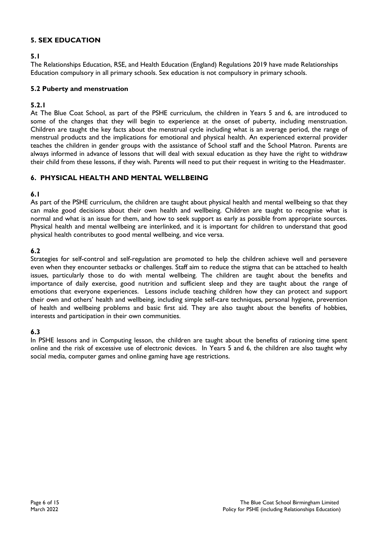# **5. SEX EDUCATION**

#### **5.1**

The Relationships Education, RSE, and Health Education (England) Regulations 2019 have made Relationships Education compulsory in all primary schools. Sex education is not compulsory in primary schools.

#### **5.2 Puberty and menstruation**

#### **5.2.1**

At The Blue Coat School, as part of the PSHE curriculum, the children in Years 5 and 6, are introduced to some of the changes that they will begin to experience at the onset of puberty, including menstruation. Children are taught the key facts about the menstrual cycle including what is an average period, the range of menstrual products and the implications for emotional and physical health. An experienced external provider teaches the children in gender groups with the assistance of School staff and the School Matron. Parents are always informed in advance of lessons that will deal with sexual education as they have the right to withdraw their child from these lessons, if they wish. Parents will need to put their request in writing to the Headmaster.

# **6. PHYSICAL HEALTH AND MENTAL WELLBEING**

# **6.1**

As part of the PSHE curriculum, the children are taught about physical health and mental wellbeing so that they can make good decisions about their own health and wellbeing. Children are taught to recognise what is normal and what is an issue for them, and how to seek support as early as possible from appropriate sources. Physical health and mental wellbeing are interlinked, and it is important for children to understand that good physical health contributes to good mental wellbeing, and vice versa.

# **6.2**

Strategies for self-control and self-regulation are promoted to help the children achieve well and persevere even when they encounter setbacks or challenges. Staff aim to reduce the stigma that can be attached to health issues, particularly those to do with mental wellbeing. The children are taught about the benefits and importance of daily exercise, good nutrition and sufficient sleep and they are taught about the range of emotions that everyone experiences. Lessons include teaching children how they can protect and support their own and others' health and wellbeing, including simple self-care techniques, personal hygiene, prevention of health and wellbeing problems and basic first aid. They are also taught about the benefits of hobbies, interests and participation in their own communities.

# **6.3**

In PSHE lessons and in Computing lesson, the children are taught about the benefits of rationing time spent online and the risk of excessive use of electronic devices. In Years 5 and 6, the children are also taught why social media, computer games and online gaming have age restrictions.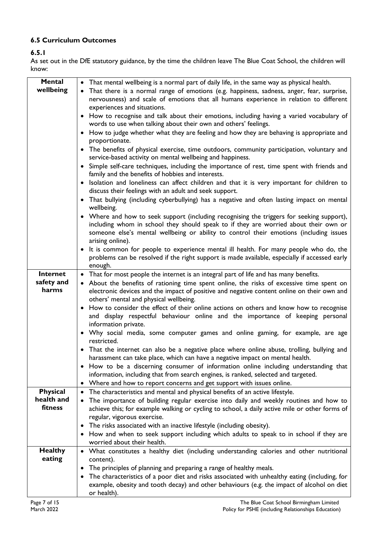# **6.5 Curriculum Outcomes**

# **6.5.1**

As set out in the DfE statutory guidance, by the time the children leave The Blue Coat School, the children will know:

| <b>Mental</b>                 | • That mental wellbeing is a normal part of daily life, in the same way as physical health.                                                                       |  |  |  |  |
|-------------------------------|-------------------------------------------------------------------------------------------------------------------------------------------------------------------|--|--|--|--|
| wellbeing                     | That there is a normal range of emotions (e.g. happiness, sadness, anger, fear, surprise,                                                                         |  |  |  |  |
|                               | nervousness) and scale of emotions that all humans experience in relation to different                                                                            |  |  |  |  |
|                               | experiences and situations.                                                                                                                                       |  |  |  |  |
|                               | How to recognise and talk about their emotions, including having a varied vocabulary of<br>words to use when talking about their own and others' feelings.        |  |  |  |  |
|                               | How to judge whether what they are feeling and how they are behaving is appropriate and<br>proportionate.                                                         |  |  |  |  |
|                               | • The benefits of physical exercise, time outdoors, community participation, voluntary and                                                                        |  |  |  |  |
|                               | service-based activity on mental wellbeing and happiness.<br>• Simple self-care techniques, including the importance of rest, time spent with friends and         |  |  |  |  |
|                               | family and the benefits of hobbies and interests.                                                                                                                 |  |  |  |  |
|                               | Isolation and loneliness can affect children and that it is very important for children to<br>$\bullet$<br>discuss their feelings with an adult and seek support. |  |  |  |  |
|                               | • That bullying (including cyberbullying) has a negative and often lasting impact on mental<br>wellbeing.                                                         |  |  |  |  |
|                               | • Where and how to seek support (including recognising the triggers for seeking support),                                                                         |  |  |  |  |
|                               | including whom in school they should speak to if they are worried about their own or                                                                              |  |  |  |  |
|                               | someone else's mental wellbeing or ability to control their emotions (including issues                                                                            |  |  |  |  |
|                               | arising online).<br>• It is common for people to experience mental ill health. For many people who do, the                                                        |  |  |  |  |
|                               | problems can be resolved if the right support is made available, especially if accessed early                                                                     |  |  |  |  |
|                               | enough.                                                                                                                                                           |  |  |  |  |
| Internet                      | • That for most people the internet is an integral part of life and has many benefits.                                                                            |  |  |  |  |
| safety and                    | • About the benefits of rationing time spent online, the risks of excessive time spent on                                                                         |  |  |  |  |
| harms                         | electronic devices and the impact of positive and negative content online on their own and<br>others' mental and physical wellbeing.                              |  |  |  |  |
|                               | How to consider the effect of their online actions on others and know how to recognise                                                                            |  |  |  |  |
|                               | and display respectful behaviour online and the importance of keeping personal                                                                                    |  |  |  |  |
|                               | information private.<br>• Why social media, some computer games and online gaming, for example, are age                                                           |  |  |  |  |
|                               | restricted.                                                                                                                                                       |  |  |  |  |
|                               | • That the internet can also be a negative place where online abuse, trolling, bullying and                                                                       |  |  |  |  |
|                               | harassment can take place, which can have a negative impact on mental health.                                                                                     |  |  |  |  |
|                               | • How to be a discerning consumer of information online including understanding that                                                                              |  |  |  |  |
|                               | information, including that from search engines, is ranked, selected and targeted.                                                                                |  |  |  |  |
|                               | Where and how to report concerns and get support with issues online.                                                                                              |  |  |  |  |
| <b>Physical</b><br>health and | The characteristics and mental and physical benefits of an active lifestyle.<br>٠                                                                                 |  |  |  |  |
| fitness                       | The importance of building regular exercise into daily and weekly routines and how to                                                                             |  |  |  |  |
|                               | achieve this; for example walking or cycling to school, a daily active mile or other forms of<br>regular, vigorous exercise.                                      |  |  |  |  |
|                               | The risks associated with an inactive lifestyle (including obesity).                                                                                              |  |  |  |  |
|                               | How and when to seek support including which adults to speak to in school if they are<br>٠                                                                        |  |  |  |  |
|                               | worried about their health.                                                                                                                                       |  |  |  |  |
| <b>Healthy</b>                | • What constitutes a healthy diet (including understanding calories and other nutritional                                                                         |  |  |  |  |
| eating                        | content).                                                                                                                                                         |  |  |  |  |
|                               | The principles of planning and preparing a range of healthy meals.<br>٠                                                                                           |  |  |  |  |
|                               | The characteristics of a poor diet and risks associated with unhealthy eating (including, for<br>٠                                                                |  |  |  |  |
|                               | example, obesity and tooth decay) and other behaviours (e.g. the impact of alcohol on diet<br>or health).                                                         |  |  |  |  |
|                               |                                                                                                                                                                   |  |  |  |  |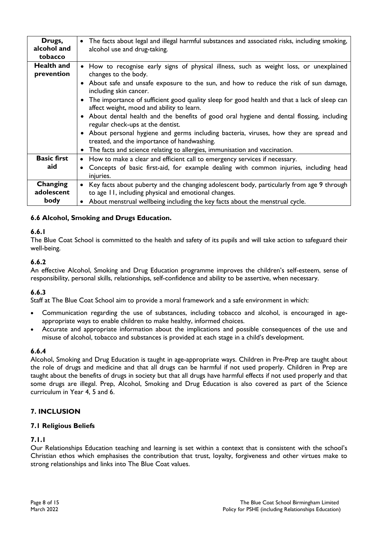| Drugs,<br>alcohol and<br>tobacco | The facts about legal and illegal harmful substances and associated risks, including smoking,<br>$\bullet$<br>alcohol use and drug-taking.                                                                                                                                                                                                                                                                                                                                                                                                                                                                                                                                                                                                     |
|----------------------------------|------------------------------------------------------------------------------------------------------------------------------------------------------------------------------------------------------------------------------------------------------------------------------------------------------------------------------------------------------------------------------------------------------------------------------------------------------------------------------------------------------------------------------------------------------------------------------------------------------------------------------------------------------------------------------------------------------------------------------------------------|
| <b>Health and</b><br>prevention  | • How to recognise early signs of physical illness, such as weight loss, or unexplained<br>changes to the body.<br>• About safe and unsafe exposure to the sun, and how to reduce the risk of sun damage,<br>including skin cancer.<br>The importance of sufficient good quality sleep for good health and that a lack of sleep can<br>affect weight, mood and ability to learn.<br>• About dental health and the benefits of good oral hygiene and dental flossing, including<br>regular check-ups at the dentist.<br>About personal hygiene and germs including bacteria, viruses, how they are spread and<br>treated, and the importance of handwashing.<br>The facts and science relating to allergies, immunisation and vaccination.<br>٠ |
| <b>Basic first</b><br>aid        | How to make a clear and efficient call to emergency services if necessary.<br>٠<br>Concepts of basic first-aid, for example dealing with common injuries, including head<br>$\bullet$<br>injuries.                                                                                                                                                                                                                                                                                                                                                                                                                                                                                                                                             |
| Changing<br>adolescent<br>body   | Key facts about puberty and the changing adolescent body, particularly from age 9 through<br>$\bullet$<br>to age 11, including physical and emotional changes.<br>About menstrual wellbeing including the key facts about the menstrual cycle.<br>$\bullet$                                                                                                                                                                                                                                                                                                                                                                                                                                                                                    |

# **6.6 Alcohol, Smoking and Drugs Education.**

#### **6.6.1**

The Blue Coat School is committed to the health and safety of its pupils and will take action to safeguard their well-being.

#### **6.6.2**

An effective Alcohol, Smoking and Drug Education programme improves the children's self-esteem, sense of responsibility, personal skills, relationships, self-confidence and ability to be assertive, when necessary.

#### **6.6.3**

Staff at The Blue Coat School aim to provide a moral framework and a safe environment in which:

- Communication regarding the use of substances, including tobacco and alcohol, is encouraged in ageappropriate ways to enable children to make healthy, informed choices.
- Accurate and appropriate information about the implications and possible consequences of the use and misuse of alcohol, tobacco and substances is provided at each stage in a child's development.

#### **6.6.4**

Alcohol, Smoking and Drug Education is taught in age-appropriate ways. Children in Pre-Prep are taught about the role of drugs and medicine and that all drugs can be harmful if not used properly. Children in Prep are taught about the benefits of drugs in society but that all drugs have harmful effects if not used properly and that some drugs are illegal. Prep, Alcohol, Smoking and Drug Education is also covered as part of the Science curriculum in Year 4, 5 and 6.

#### **7. INCLUSION**

#### **7.1 Religious Beliefs**

#### **7.1.1**

Our Relationships Education teaching and learning is set within a context that is consistent with the school's Christian ethos which emphasises the contribution that trust, loyalty, forgiveness and other virtues make to strong relationships and links into The Blue Coat values.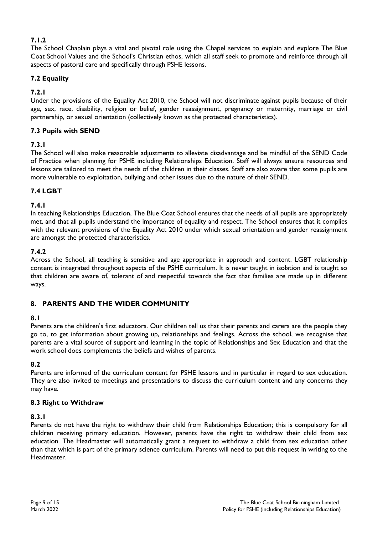# **7.1.2**

The School Chaplain plays a vital and pivotal role using the Chapel services to explain and explore The Blue Coat School Values and the School's Christian ethos, which all staff seek to promote and reinforce through all aspects of pastoral care and specifically through PSHE lessons.

# **7.2 Equality**

# **7.2.1**

Under the provisions of the Equality Act 2010, the School will not discriminate against pupils because of their age, sex, race, disability, religion or belief, gender reassignment, pregnancy or maternity, marriage or civil partnership, or sexual orientation (collectively known as the protected characteristics).

# **7.3 Pupils with SEND**

# **7.3.1**

The School will also make reasonable adjustments to alleviate disadvantage and be mindful of the SEND Code of Practice when planning for PSHE including Relationships Education. Staff will always ensure resources and lessons are tailored to meet the needs of the children in their classes. Staff are also aware that some pupils are more vulnerable to exploitation, bullying and other issues due to the nature of their SEND.

# **7.4 LGBT**

# **7.4.1**

In teaching Relationships Education, The Blue Coat School ensures that the needs of all pupils are appropriately met, and that all pupils understand the importance of equality and respect. The School ensures that it complies with the relevant provisions of the Equality Act 2010 under which sexual orientation and gender reassignment are amongst the protected characteristics.

# **7.4.2**

Across the School, all teaching is sensitive and age appropriate in approach and content. LGBT relationship content is integrated throughout aspects of the PSHE curriculum. It is never taught in isolation and is taught so that children are aware of, tolerant of and respectful towards the fact that families are made up in different ways.

# **8. PARENTS AND THE WIDER COMMUNITY**

# **8.1**

Parents are the children's first educators. Our children tell us that their parents and carers are the people they go to, to get information about growing up, relationships and feelings. Across the school, we recognise that parents are a vital source of support and learning in the topic of Relationships and Sex Education and that the work school does complements the beliefs and wishes of parents.

#### **8.2**

Parents are informed of the curriculum content for PSHE lessons and in particular in regard to sex education. They are also invited to meetings and presentations to discuss the curriculum content and any concerns they may have.

#### **8.3 Right to Withdraw**

#### **8.3.1**

Parents do not have the right to withdraw their child from Relationships Education; this is compulsory for all children receiving primary education. However, parents have the right to withdraw their child from sex education. The Headmaster will automatically grant a request to withdraw a child from sex education other than that which is part of the primary science curriculum. Parents will need to put this request in writing to the Headmaster.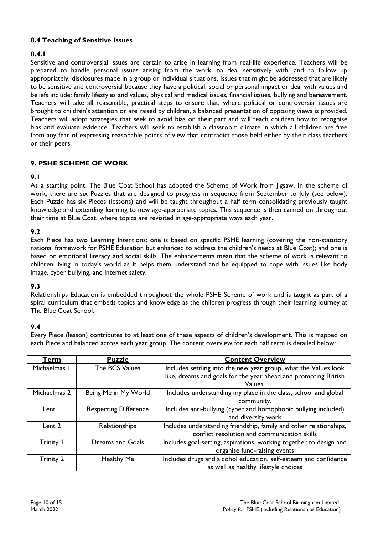# **8.4 Teaching of Sensitive Issues**

# **8.4.1**

Sensitive and controversial issues are certain to arise in learning from real-life experience. Teachers will be prepared to handle personal issues arising from the work, to deal sensitively with, and to follow up appropriately, disclosures made in a group or individual situations. Issues that might be addressed that are likely to be sensitive and controversial because they have a political, social or personal impact or deal with values and beliefs include: family lifestyles and values, physical and medical issues, financial issues, bullying and bereavement. Teachers will take all reasonable, practical steps to ensure that, where political or controversial issues are brought to children's attention or are raised by children, a balanced presentation of opposing views is provided. Teachers will adopt strategies that seek to avoid bias on their part and will teach children how to recognise bias and evaluate evidence. Teachers will seek to establish a classroom climate in which all children are free from any fear of expressing reasonable points of view that contradict those held either by their class teachers or their peers.

# **9. PSHE SCHEME OF WORK**

# **9.1**

As a starting point, The Blue Coat School has adopted the Scheme of Work from Jigsaw. In the scheme of work, there are six Puzzles that are designed to progress in sequence from September to July (see below). Each Puzzle has six Pieces (lessons) and will be taught throughout a half term consolidating previously taught knowledge and extending learning to new age-appropriate topics. This sequence is then carried on throughout their time at Blue Coat, where topics are revisited in age-appropriate ways each year.

# **9.2**

Each Piece has two Learning Intentions: one is based on specific PSHE learning (covering the non-statutory national framework for PSHE Education but enhanced to address the children's needs at Blue Coat); and one is based on emotional literacy and social skills. The enhancements mean that the scheme of work is relevant to children living in today's world as it helps them understand and be equipped to cope with issues like body image, cyber bullying, and internet safety.

#### **9.3**

Relationships Education is embedded throughout the whole PSHE Scheme of work and is taught as part of a spiral curriculum that embeds topics and knowledge as the children progress through their learning journey at The Blue Coat School.

#### **9.4**

Every Piece (lesson) contributes to at least one of these aspects of children's development. This is mapped on each Piece and balanced across each year group. The content overview for each half term is detailed below:

| Term         | <b>Puzzle</b>                | <b>Content Overview</b>                                            |  |  |
|--------------|------------------------------|--------------------------------------------------------------------|--|--|
| Michaelmas I | The BCS Values               | Includes settling into the new year group, what the Values look    |  |  |
|              |                              | like, dreams and goals for the year ahead and promoting British    |  |  |
|              |                              | Values.                                                            |  |  |
| Michaelmas 2 | Being Me in My World         | Includes understanding my place in the class, school and global    |  |  |
|              |                              | community.                                                         |  |  |
| Lent I       | <b>Respecting Difference</b> | Includes anti-bullying (cyber and homophobic bullying included)    |  |  |
|              |                              | and diversity work                                                 |  |  |
| Lent 2       | Relationships                | Includes understanding friendship, family and other relationships, |  |  |
|              |                              | conflict resolution and communication skills                       |  |  |
| Trinity I    | <b>Dreams and Goals</b>      | Includes goal-setting, aspirations, working together to design and |  |  |
|              |                              | organise fund-raising events                                       |  |  |
| Trinity 2    | Healthy Me                   | Includes drugs and alcohol education, self-esteem and confidence   |  |  |
|              |                              | as well as healthy lifestyle choices                               |  |  |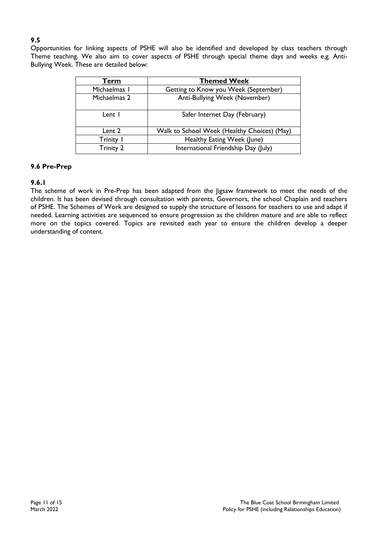# **9.5**

Opportunities for linking aspects of PSHE will also be identified and developed by class teachers through Theme teaching. We also aim to cover aspects of PSHE through special theme days and weeks e.g. Anti-Bullying Week. These are detailed below:

| Term             | <b>Themed Week</b>                          |  |  |
|------------------|---------------------------------------------|--|--|
| Michaelmas I     | Getting to Know you Week (September)        |  |  |
| Michaelmas 2     | Anti-Bullying Week (November)               |  |  |
| Lent I           | Safer Internet Day (February)               |  |  |
| Lent 2           | Walk to School Week (Healthy Choices) (May) |  |  |
| Trinity I        | Healthy Eating Week (June)                  |  |  |
| <b>Trinity 2</b> | International Friendship Day (July)         |  |  |

#### **9.6 Pre-Prep**

# **9.6.1**

The scheme of work in Pre-Prep has been adapted from the Jigsaw framework to meet the needs of the children. It has been devised through consultation with parents, Governors, the school Chaplain and teachers of PSHE. The Schemes of Work are designed to supply the structure of lessons for teachers to use and adapt if needed. Learning activities are sequenced to ensure progression as the children mature and are able to reflect more on the topics covered. Topics are revisited each year to ensure the children develop a deeper understanding of content.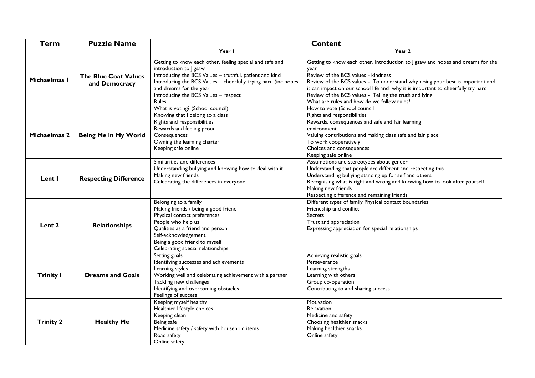| <b>Term</b>                            | <b>Puzzle Name</b>                           | <b>Content</b>                                                                                                                                                                                                                                                                                                                         |                                                                                                                                                                                                                                                                                                                                                                                                                                           |  |  |
|----------------------------------------|----------------------------------------------|----------------------------------------------------------------------------------------------------------------------------------------------------------------------------------------------------------------------------------------------------------------------------------------------------------------------------------------|-------------------------------------------------------------------------------------------------------------------------------------------------------------------------------------------------------------------------------------------------------------------------------------------------------------------------------------------------------------------------------------------------------------------------------------------|--|--|
|                                        | <b>The Blue Coat Values</b><br>and Democracy | Year I                                                                                                                                                                                                                                                                                                                                 | Year 2                                                                                                                                                                                                                                                                                                                                                                                                                                    |  |  |
| Michaelmas I                           |                                              | Getting to know each other, feeling special and safe and<br>introduction to Jigsaw<br>Introducing the BCS Values - truthful, patient and kind<br>Introducing the BCS Values - cheerfully trying hard (inc hopes<br>and dreams for the year<br>Introducing the BCS Values - respect<br><b>Rules</b><br>What is voting? (School council) | Getting to know each other, introduction to Jigsaw and hopes and dreams for the<br>year<br>Review of the BCS values - kindness<br>Review of the BCS values - To understand why doing your best is important and<br>it can impact on our school life and why it is important to cheerfully try hard<br>Review of the BCS values - Telling the truth and lying<br>What are rules and how do we follow rules?<br>How to vote (School council |  |  |
| <b>Michaelmas 2</b>                    | Being Me in My World                         | Knowing that I belong to a class<br>Rights and responsibilities<br>Rewards and feeling proud<br>Consequences<br>Owning the learning charter<br>Keeping safe online                                                                                                                                                                     | Rights and responsibilities<br>Rewards, consequences and safe and fair learning<br>environment<br>Valuing contributions and making class safe and fair place<br>To work cooperatively<br>Choices and consequences<br>Keeping safe online                                                                                                                                                                                                  |  |  |
| Lent I<br><b>Respecting Difference</b> |                                              | Similarities and differences<br>Understanding bullying and knowing how to deal with it<br>Making new friends<br>Celebrating the differences in everyone                                                                                                                                                                                | Assumptions and stereotypes about gender<br>Understanding that people are different and respecting this<br>Understanding bullying standing up for self and others<br>Recognising what is right and wrong and knowing how to look after yourself<br>Making new friends<br>Respecting difference and remaining friends                                                                                                                      |  |  |
| Lent 2<br><b>Relationships</b>         |                                              | Belonging to a family<br>Making friends / being a good friend<br>Physical contact preferences<br>People who help us<br>Qualities as a friend and person<br>Self-acknowledgement<br>Being a good friend to myself<br>Celebrating special relationships                                                                                  | Different types of family Physical contact boundaries<br>Friendship and conflict<br>Secrets<br>Trust and appreciation<br>Expressing appreciation for special relationships                                                                                                                                                                                                                                                                |  |  |
| <b>Trinity I</b>                       | <b>Dreams and Goals</b>                      | Setting goals<br>Identifying successes and achievements<br>Learning styles<br>Working well and celebrating achievement with a partner<br>Tackling new challenges<br>Identifying and overcoming obstacles<br>Feelings of success                                                                                                        | Achieving realistic goals<br>Perseverance<br>Learning strengths<br>Learning with others<br>Group co-operation<br>Contributing to and sharing success                                                                                                                                                                                                                                                                                      |  |  |
| <b>Trinity 2</b>                       | <b>Healthy Me</b>                            | Keeping myself healthy<br>Healthier lifestyle choices<br>Keeping clean<br>Being safe<br>Medicine safety / safety with household items<br>Road safety<br>Online safety                                                                                                                                                                  | Motivation<br>Relaxation<br>Medicine and safety<br>Choosing healthier snacks<br>Making healthier snacks<br>Online safety                                                                                                                                                                                                                                                                                                                  |  |  |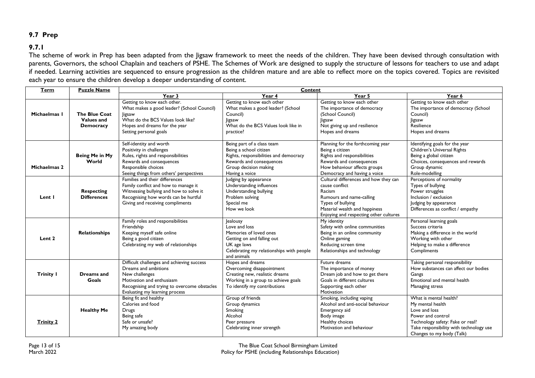# **9.7 Prep**

# **9.7.1**

The scheme of work in Prep has been adapted from the Jigsaw framework to meet the needs of the children. They have been devised through consultation with parents, Governors, the school Chaplain and teachers of PSHE. The Schemes of Work are designed to supply the structure of lessons for teachers to use and adapt if needed. Learning activities are sequenced to ensure progression as the children mature and are able to reflect more on the topics covered. Topics are revisited each year to ensure the children develop a deeper understanding of content.

| Term              | <b>Puzzle Name</b>                                     | Content                                                                                                                                                                                             |                                                                                                                                                                       |                                                                                                                                                                                               |                                                                                                                                                                                              |
|-------------------|--------------------------------------------------------|-----------------------------------------------------------------------------------------------------------------------------------------------------------------------------------------------------|-----------------------------------------------------------------------------------------------------------------------------------------------------------------------|-----------------------------------------------------------------------------------------------------------------------------------------------------------------------------------------------|----------------------------------------------------------------------------------------------------------------------------------------------------------------------------------------------|
|                   |                                                        | Year 3                                                                                                                                                                                              | Year 4                                                                                                                                                                | Year 5                                                                                                                                                                                        | Year 6                                                                                                                                                                                       |
| Michaelmas I      | The Blue Coat<br><b>Values and</b><br><b>Democracy</b> | Getting to know each other.<br>What makes a good leader? (School Council)<br>ligsaw<br>What do the BCS Values look like?<br>Hopes and dreams for the year<br>Setting personal goals                 | Getting to know each other<br>What makes a good leader? (School<br>Council)<br>Jigsaw<br>What do the BCS Values look like in<br>practice?                             | Getting to know each other<br>The importance of democracy<br>(School Council)<br>Jigsaw<br>Not giving up and resilience<br>Hopes and dreams                                                   | Getting to know each other<br>The importance of democracy (School<br>Council)<br>Jigsaw<br>Resilience<br>Hopes and dreams                                                                    |
| Michaelmas 2      | Being Me in My<br>World                                | Self-identity and worth<br>Positivity in challenges<br>Rules, rights and responsibilities<br>Rewards and consequences<br>Responsible choices<br>Seeing things from others' perspectives             | Being part of a class team<br>Being a school citizen<br>Rights, responsibilities and democracy<br>Rewards and consequences<br>Group decision making<br>Having a voice | Planning for the forthcoming year<br>Being a citizen<br>Rights and responsibilities<br>Rewards and consequences<br>How behaviour affects groups<br>Democracy and having a voice               | Identifying goals for the year<br>Children's Universal Rights<br>Being a global citizen<br>Choices, consequences and rewards<br>Group dynamic<br>Role-modelling                              |
| Lent I            | <b>Respecting</b><br><b>Differences</b>                | Families and their differences<br>Family conflict and how to manage it<br>Witnessing bullying and how to solve it<br>Recognising how words can be hurtful<br>Giving and receiving compliments       | Judging by appearance<br>Understanding influences<br>Understanding bullying<br>Problem solving<br>Special me<br>How we look                                           | Cultural differences and how they can<br>cause conflict<br>Racism<br>Rumours and name-calling<br>Types of bullying<br>Material wealth and happiness<br>Enjoying and respecting other cultures | Perceptions of normality<br>Types of bullying<br>Power struggles<br>Inclusion / exclusion<br>Judging by appearance<br>Differences as conflict / empathy                                      |
| Lent <sub>2</sub> | <b>Relationships</b>                                   | Family roles and responsibilities<br>Friendship<br>Keeping myself safe online<br>Being a good citizen<br>Celebrating my web of relationships                                                        | <b>Jealousy</b><br>Love and loss<br>Memories of loved ones<br>Getting on and falling out<br>UK age laws<br>Celebrating my relationships with people<br>and animals    | My identity<br>Safety with online communities<br>Being in an online community<br>Online gaming<br>Reducing screen time<br>Relationships and technology                                        | Personal learning goals<br>Success criteria<br>Making a difference in the world<br>Working with other<br>Helping to make a difference<br>Compliments                                         |
| <b>Trinity I</b>  | <b>Dreams</b> and<br>Goals                             | Difficult challenges and achieving success<br>Dreams and ambitions<br>New challenges<br>Motivation and enthusiasm<br>Recognising and trying to overcome obstacles<br>Evaluating my learning process | Hopes and dreams<br>Overcoming disappointment<br>Creating new, realistic dreams<br>Working in a group to achieve goals<br>To identify my contributions                | Future dreams<br>The importance of money<br>Dream job and how to get there<br>Goals in different cultures<br>Supporting each other<br>Motivation                                              | Taking personal responsibility<br>How substances can affect our bodies<br>Gangs<br>Emotional and mental health<br>Managing stress                                                            |
| <b>Trinity 2</b>  | <b>Healthy Me</b>                                      | Being fit and healthy<br>Calories and food<br><b>Drugs</b><br>Being safe<br>Safe or unsafe?<br>My amazing body                                                                                      | Group of friends<br>Group dynamics<br>Smoking<br>Alcohol<br>Peer pressure<br>Celebrating inner strength                                                               | Smoking, including vaping<br>Alcohol and anti-social behaviour<br>Emergency aid<br>Body image<br>Healthy choices<br>Motivation and behaviour                                                  | What is mental health?<br>My mental health<br>Love and loss<br>Power and control<br>Technology safety: Fake or real?<br>Take responsibility with technology use<br>Changes to my body (Talk) |

Page 13 of 15 Page 13 of 15 Page 13 of 15 Page 13 of 15 Page 13 of 15 Page 13 of 15 Page 13 of 15 Page 13 of 1<br>Policy for PSHE (including Relationships Education) Policy for PSHE (including Relationships Education)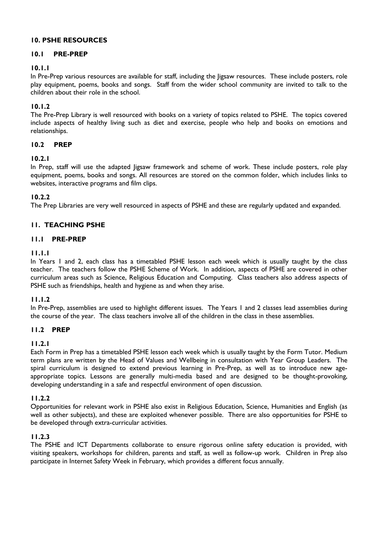#### **10. PSHE RESOURCES**

#### **10.1 PRE-PREP**

#### **10.1.1**

In Pre-Prep various resources are available for staff, including the Jigsaw resources. These include posters, role play equipment, poems, books and songs. Staff from the wider school community are invited to talk to the children about their role in the school.

#### **10.1.2**

The Pre-Prep Library is well resourced with books on a variety of topics related to PSHE. The topics covered include aspects of healthy living such as diet and exercise, people who help and books on emotions and relationships.

#### **10.2 PREP**

#### **10.2.1**

In Prep, staff will use the adapted ligsaw framework and scheme of work. These include posters, role play equipment, poems, books and songs. All resources are stored on the common folder, which includes links to websites, interactive programs and film clips.

#### **10.2.2**

The Prep Libraries are very well resourced in aspects of PSHE and these are regularly updated and expanded.

# **11. TEACHING PSHE**

#### **11.1 PRE-PREP**

#### **11.1.1**

In Years 1 and 2, each class has a timetabled PSHE lesson each week which is usually taught by the class teacher. The teachers follow the PSHE Scheme of Work. In addition, aspects of PSHE are covered in other curriculum areas such as Science, Religious Education and Computing. Class teachers also address aspects of PSHE such as friendships, health and hygiene as and when they arise.

#### **11.1.2**

In Pre-Prep, assemblies are used to highlight different issues. The Years 1 and 2 classes lead assemblies during the course of the year. The class teachers involve all of the children in the class in these assemblies.

#### **11.2 PREP**

#### **11.2.1**

Each Form in Prep has a timetabled PSHE lesson each week which is usually taught by the Form Tutor. Medium term plans are written by the Head of Values and Wellbeing in consultation with Year Group Leaders. The spiral curriculum is designed to extend previous learning in Pre-Prep, as well as to introduce new ageappropriate topics. Lessons are generally multi-media based and are designed to be thought-provoking, developing understanding in a safe and respectful environment of open discussion.

#### **11.2.2**

Opportunities for relevant work in PSHE also exist in Religious Education, Science, Humanities and English (as well as other subjects), and these are exploited whenever possible. There are also opportunities for PSHE to be developed through extra-curricular activities.

#### **11.2.3**

The PSHE and ICT Departments collaborate to ensure rigorous online safety education is provided, with visiting speakers, workshops for children, parents and staff, as well as follow-up work. Children in Prep also participate in Internet Safety Week in February, which provides a different focus annually.